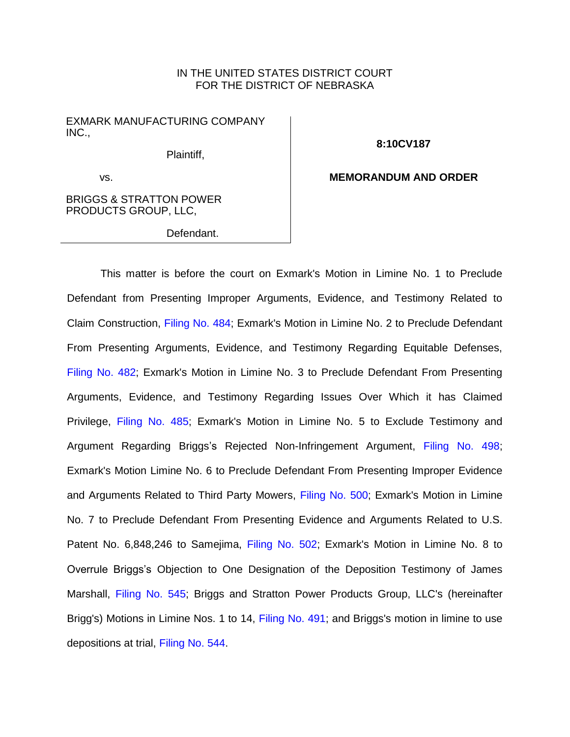### IN THE UNITED STATES DISTRICT COURT FOR THE DISTRICT OF NEBRASKA

EXMARK MANUFACTURING COMPANY INC.,

Plaintiff,

**8:10CV187**

**MEMORANDUM AND ORDER**

vs.

BRIGGS & STRATTON POWER PRODUCTS GROUP, LLC,

Defendant.

This matter is before the court on Exmark's Motion in Limine No. 1 to Preclude Defendant from Presenting Improper Arguments, Evidence, and Testimony Related to Claim Construction, [Filing No. 484;](https://ecf.ned.uscourts.gov/doc1/11313333286) Exmark's Motion in Limine No. 2 to Preclude Defendant From Presenting Arguments, Evidence, and Testimony Regarding Equitable Defenses, [Filing No. 482;](https://ecf.ned.uscourts.gov/doc1/11313333266) Exmark's Motion in Limine No. 3 to Preclude Defendant From Presenting Arguments, Evidence, and Testimony Regarding Issues Over Which it has Claimed Privilege, [Filing No. 485;](https://ecf.ned.uscourts.gov/doc1/11313333291) Exmark's Motion in Limine No. 5 to Exclude Testimony and Argument Regarding Briggs's Rejected Non-Infringement Argument, [Filing No. 498;](https://ecf.ned.uscourts.gov/doc1/11313334377) Exmark's Motion Limine No. 6 to Preclude Defendant From Presenting Improper Evidence and Arguments Related to Third Party Mowers, [Filing No. 500;](https://ecf.ned.uscourts.gov/doc1/11313334383) Exmark's Motion in Limine No. 7 to Preclude Defendant From Presenting Evidence and Arguments Related to U.S. Patent No. 6,848,246 to Samejima, [Filing No. 502;](https://ecf.ned.uscourts.gov/doc1/11313334389) Exmark's Motion in Limine No. 8 to Overrule Briggs's Objection to One Designation of the Deposition Testimony of James Marshall, [Filing No. 545;](https://ecf.ned.uscourts.gov/doc1/11313351166) Briggs and Stratton Power Products Group, LLC's (hereinafter Brigg's) Motions in Limine Nos. 1 to 14, [Filing No. 491;](https://ecf.ned.uscourts.gov/doc1/11313333439) and Briggs's motion in limine to use depositions at trial, [Filing No. 544.](https://ecf.ned.uscourts.gov/doc1/11313351163)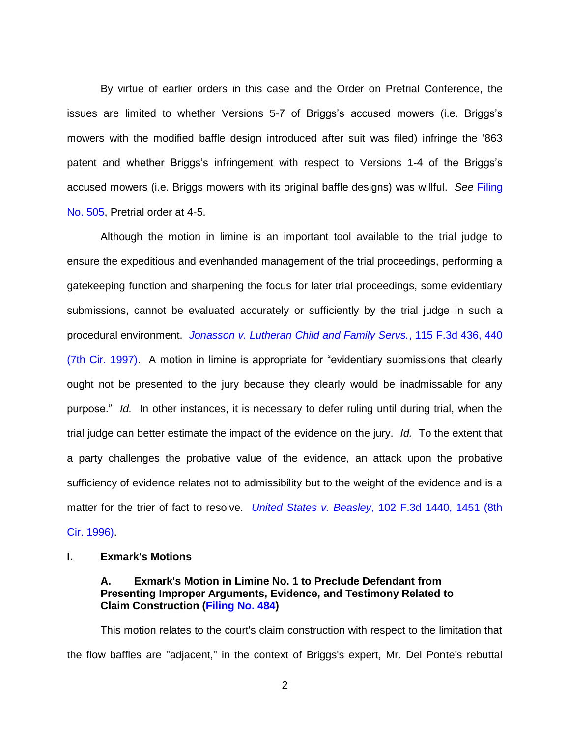By virtue of earlier orders in this case and the Order on Pretrial Conference, the issues are limited to whether Versions 5-7 of Briggs's accused mowers (i.e. Briggs's mowers with the modified baffle design introduced after suit was filed) infringe the '863 patent and whether Briggs's infringement with respect to Versions 1-4 of the Briggs's accused mowers (i.e. Briggs mowers with its original baffle designs) was willful. *See* [Filing](https://ecf.ned.uscourts.gov/doc1/11313336692)  [No. 505,](https://ecf.ned.uscourts.gov/doc1/11313336692) Pretrial order at 4-5.

Although the motion in limine is an important tool available to the trial judge to ensure the expeditious and evenhanded management of the trial proceedings, performing a gatekeeping function and sharpening the focus for later trial proceedings, some evidentiary submissions, cannot be evaluated accurately or sufficiently by the trial judge in such a procedural environment. *[Jonasson v. Lutheran Child and Family Servs.](https://www.westlaw.com/Document/Ic13c6cc4941f11d993e6d35cc61aab4a/View/FullText.html?transitionType=Default&contextData=(sc.Default)&VR=3.0&RS=da3.0&fragmentIdentifier=co_pp_sp_506_440)*, 115 F.3d 436, 440 [\(7th Cir. 1997\).](https://www.westlaw.com/Document/Ic13c6cc4941f11d993e6d35cc61aab4a/View/FullText.html?transitionType=Default&contextData=(sc.Default)&VR=3.0&RS=da3.0&fragmentIdentifier=co_pp_sp_506_440) A motion in limine is appropriate for "evidentiary submissions that clearly ought not be presented to the jury because they clearly would be inadmissable for any purpose." *Id.* In other instances, it is necessary to defer ruling until during trial, when the trial judge can better estimate the impact of the evidence on the jury. *Id.* To the extent that a party challenges the probative value of the evidence, an attack upon the probative sufficiency of evidence relates not to admissibility but to the weight of the evidence and is a matter for the trier of fact to resolve. *United States v. Beasley*[, 102 F.3d 1440, 1451 \(8th](https://www.westlaw.com/Document/I8f5eb504940b11d9a707f4371c9c34f0/View/FullText.html?transitionType=Default&contextData=(sc.Default)&VR=3.0&RS=da3.0&fragmentIdentifier=co_pp_sp_506_1451)  [Cir. 1996\).](https://www.westlaw.com/Document/I8f5eb504940b11d9a707f4371c9c34f0/View/FullText.html?transitionType=Default&contextData=(sc.Default)&VR=3.0&RS=da3.0&fragmentIdentifier=co_pp_sp_506_1451)

#### **I. Exmark's Motions**

#### **A. Exmark's Motion in Limine No. 1 to Preclude Defendant from Presenting Improper Arguments, Evidence, and Testimony Related to Claim Construction [\(Filing No. 484\)](https://ecf.ned.uscourts.gov/doc1/11313333286)**

This motion relates to the court's claim construction with respect to the limitation that the flow baffles are "adjacent," in the context of Briggs's expert, Mr. Del Ponte's rebuttal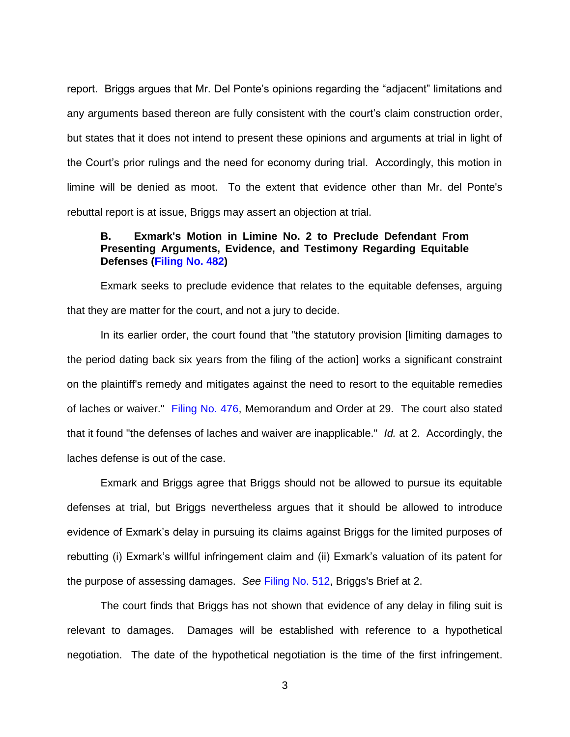report. Briggs argues that Mr. Del Ponte's opinions regarding the "adjacent" limitations and any arguments based thereon are fully consistent with the court's claim construction order, but states that it does not intend to present these opinions and arguments at trial in light of the Court's prior rulings and the need for economy during trial. Accordingly, this motion in limine will be denied as moot. To the extent that evidence other than Mr. del Ponte's rebuttal report is at issue, Briggs may assert an objection at trial.

### **B. Exmark's Motion in Limine No. 2 to Preclude Defendant From Presenting Arguments, Evidence, and Testimony Regarding Equitable Defenses [\(Filing No. 482\)](https://ecf.ned.uscourts.gov/doc1/11313333266)**

Exmark seeks to preclude evidence that relates to the equitable defenses, arguing that they are matter for the court, and not a jury to decide.

In its earlier order, the court found that "the statutory provision [limiting damages to the period dating back six years from the filing of the action] works a significant constraint on the plaintiff's remedy and mitigates against the need to resort to the equitable remedies of laches or waiver." [Filing No. 476,](https://ecf.ned.uscourts.gov/doc1/11313325338) Memorandum and Order at 29. The court also stated that it found "the defenses of laches and waiver are inapplicable." *Id.* at 2. Accordingly, the laches defense is out of the case.

Exmark and Briggs agree that Briggs should not be allowed to pursue its equitable defenses at trial, but Briggs nevertheless argues that it should be allowed to introduce evidence of Exmark's delay in pursuing its claims against Briggs for the limited purposes of rebutting (i) Exmark's willful infringement claim and (ii) Exmark's valuation of its patent for the purpose of assessing damages. *See* [Filing No. 512,](https://ecf.ned.uscourts.gov/doc1/11313343453) Briggs's Brief at 2.

The court finds that Briggs has not shown that evidence of any delay in filing suit is relevant to damages. Damages will be established with reference to a hypothetical negotiation. The date of the hypothetical negotiation is the time of the first infringement.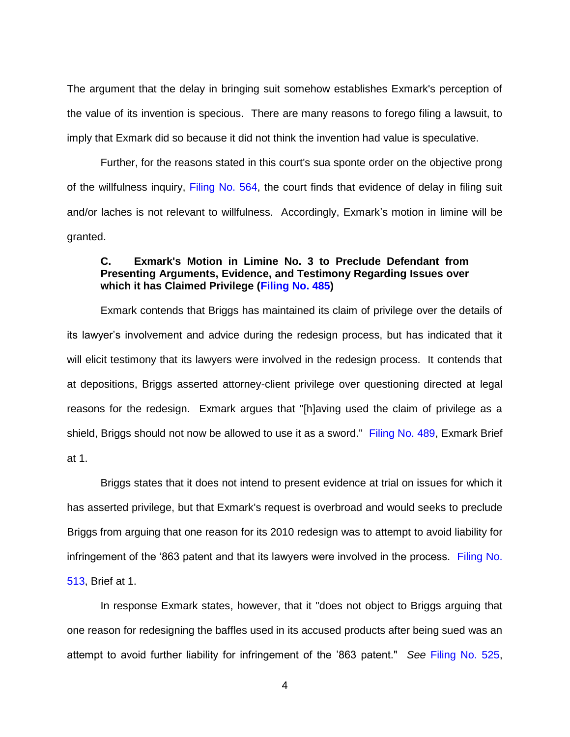The argument that the delay in bringing suit somehow establishes Exmark's perception of the value of its invention is specious. There are many reasons to forego filing a lawsuit, to imply that Exmark did so because it did not think the invention had value is speculative.

Further, for the reasons stated in this court's sua sponte order on the objective prong of the willfulness inquiry, [Filing No.](https://ecf.ned.uscourts.gov/doc1/11313354174) 564, the court finds that evidence of delay in filing suit and/or laches is not relevant to willfulness. Accordingly, Exmark's motion in limine will be granted.

### **C. Exmark's Motion in Limine No. 3 to Preclude Defendant from Presenting Arguments, Evidence, and Testimony Regarding Issues over which it has Claimed Privilege [\(Filing No. 485\)](https://ecf.ned.uscourts.gov/doc1/11313333291)**

Exmark contends that Briggs has maintained its claim of privilege over the details of its lawyer's involvement and advice during the redesign process, but has indicated that it will elicit testimony that its lawyers were involved in the redesign process. It contends that at depositions, Briggs asserted attorney-client privilege over questioning directed at legal reasons for the redesign. Exmark argues that "[h]aving used the claim of privilege as a shield, Briggs should not now be allowed to use it as a sword." [Filing No. 489,](https://ecf.ned.uscourts.gov/doc1/11313333315) Exmark Brief at 1.

Briggs states that it does not intend to present evidence at trial on issues for which it has asserted privilege, but that Exmark's request is overbroad and would seeks to preclude Briggs from arguing that one reason for its 2010 redesign was to attempt to avoid liability for infringement of the '863 patent and that its lawyers were involved in the process. [Filing No.](https://ecf.ned.uscourts.gov/doc1/11313343456)  [513,](https://ecf.ned.uscourts.gov/doc1/11313343456) Brief at 1.

In response Exmark states, however, that it "does not object to Briggs arguing that one reason for redesigning the baffles used in its accused products after being sued was an attempt to avoid further liability for infringement of the '863 patent." *See* [Filing No. 525,](https://ecf.ned.uscourts.gov/doc1/11313345148)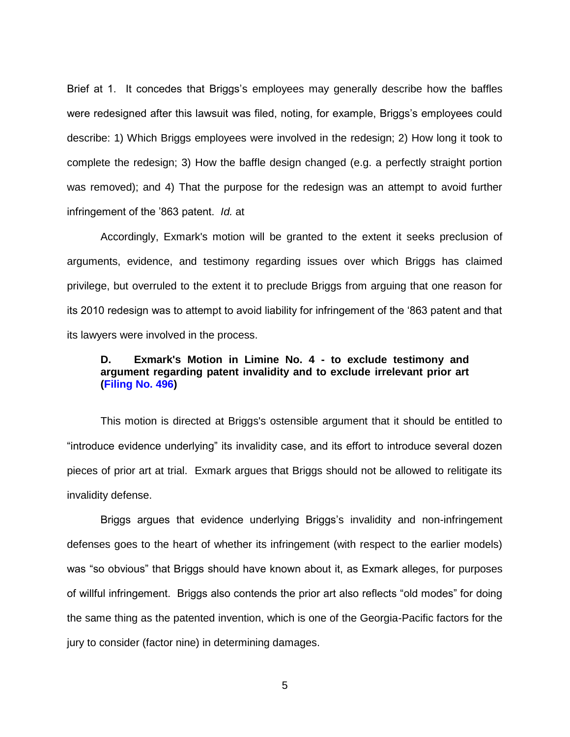Brief at 1. It concedes that Briggs's employees may generally describe how the baffles were redesigned after this lawsuit was filed, noting, for example, Briggs's employees could describe: 1) Which Briggs employees were involved in the redesign; 2) How long it took to complete the redesign; 3) How the baffle design changed (e.g. a perfectly straight portion was removed); and 4) That the purpose for the redesign was an attempt to avoid further infringement of the '863 patent. *Id.* at

Accordingly, Exmark's motion will be granted to the extent it seeks preclusion of arguments, evidence, and testimony regarding issues over which Briggs has claimed privilege, but overruled to the extent it to preclude Briggs from arguing that one reason for its 2010 redesign was to attempt to avoid liability for infringement of the '863 patent and that its lawyers were involved in the process.

### **D. Exmark's Motion in Limine No. 4 - to exclude testimony and argument regarding patent invalidity and to exclude irrelevant prior art [\(Filing No. 496\)](https://ecf.ned.uscourts.gov/doc1/11313334371)**

This motion is directed at Briggs's ostensible argument that it should be entitled to "introduce evidence underlying" its invalidity case, and its effort to introduce several dozen pieces of prior art at trial. Exmark argues that Briggs should not be allowed to relitigate its invalidity defense.

Briggs argues that evidence underlying Briggs's invalidity and non-infringement defenses goes to the heart of whether its infringement (with respect to the earlier models) was "so obvious" that Briggs should have known about it, as Exmark alleges, for purposes of willful infringement. Briggs also contends the prior art also reflects "old modes" for doing the same thing as the patented invention, which is one of the Georgia-Pacific factors for the jury to consider (factor nine) in determining damages.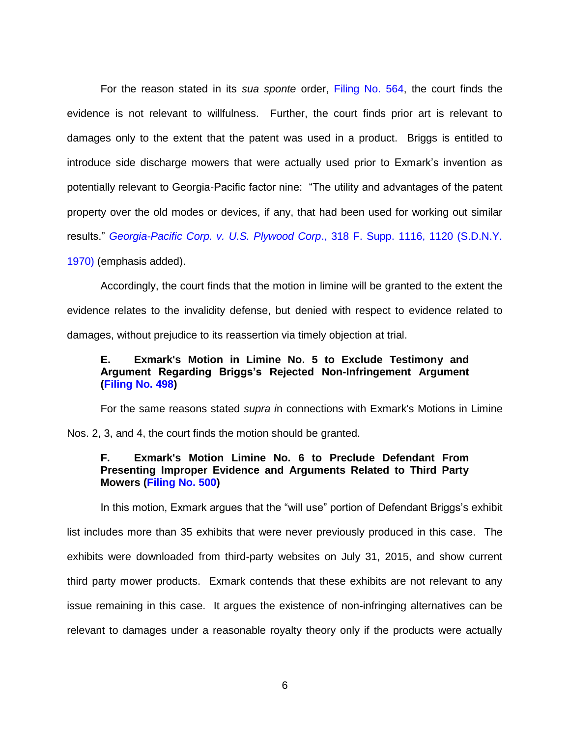For the reason stated in its *sua sponte* order, [Filing No. 564,](https://ecf.ned.uscourts.gov/doc1/11313354174) the court finds the evidence is not relevant to willfulness. Further, the court finds prior art is relevant to damages only to the extent that the patent was used in a product. Briggs is entitled to introduce side discharge mowers that were actually used prior to Exmark's invention as potentially relevant to Georgia-Pacific factor nine: "The utility and advantages of the patent property over the old modes or devices, if any, that had been used for working out similar results." *[Georgia-Pacific Corp. v. U.S. Plywood Corp](https://www.westlaw.com/Document/I5daf5edb550211d9a99c85a9e6023ffa/View/FullText.html?transitionType=Default&contextData=(sc.Default)&VR=3.0&RS=da3.0&fragmentIdentifier=co_pp_sp_345_1120)*., 318 F. Supp. 1116, 1120 (S.D.N.Y.

[1970\)](https://www.westlaw.com/Document/I5daf5edb550211d9a99c85a9e6023ffa/View/FullText.html?transitionType=Default&contextData=(sc.Default)&VR=3.0&RS=da3.0&fragmentIdentifier=co_pp_sp_345_1120) (emphasis added).

Accordingly, the court finds that the motion in limine will be granted to the extent the evidence relates to the invalidity defense, but denied with respect to evidence related to damages, without prejudice to its reassertion via timely objection at trial.

# **E. Exmark's Motion in Limine No. 5 to Exclude Testimony and Argument Regarding Briggs's Rejected Non-Infringement Argument [\(Filing No. 498\)](https://ecf.ned.uscourts.gov/doc1/11313334377)**

For the same reasons stated *supra i*n connections with Exmark's Motions in Limine Nos. 2, 3, and 4, the court finds the motion should be granted.

### **F. Exmark's Motion Limine No. 6 to Preclude Defendant From Presenting Improper Evidence and Arguments Related to Third Party Mowers [\(Filing No. 500\)](https://ecf.ned.uscourts.gov/doc1/11313334383)**

In this motion, Exmark argues that the "will use" portion of Defendant Briggs's exhibit

list includes more than 35 exhibits that were never previously produced in this case. The exhibits were downloaded from third-party websites on July 31, 2015, and show current third party mower products. Exmark contends that these exhibits are not relevant to any issue remaining in this case. It argues the existence of non-infringing alternatives can be relevant to damages under a reasonable royalty theory only if the products were actually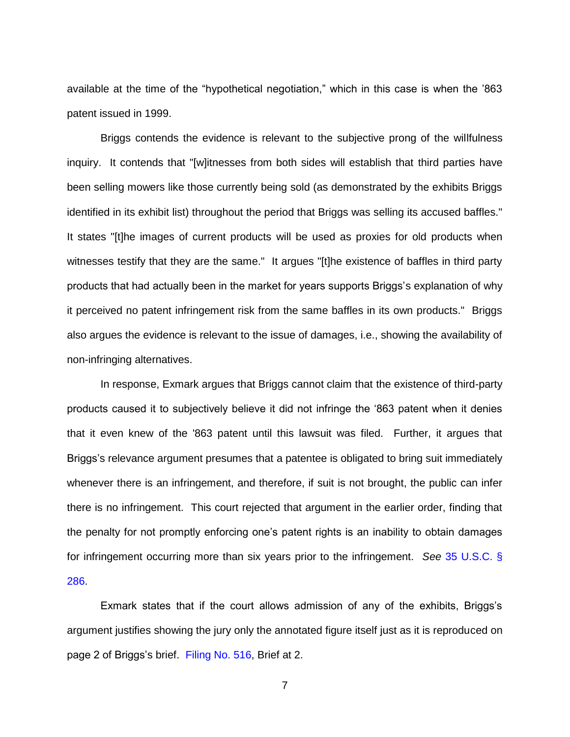available at the time of the "hypothetical negotiation," which in this case is when the '863 patent issued in 1999.

Briggs contends the evidence is relevant to the subjective prong of the willfulness inquiry. It contends that "[w]itnesses from both sides will establish that third parties have been selling mowers like those currently being sold (as demonstrated by the exhibits Briggs identified in its exhibit list) throughout the period that Briggs was selling its accused baffles." It states "[t]he images of current products will be used as proxies for old products when witnesses testify that they are the same." It argues "[t]he existence of baffles in third party products that had actually been in the market for years supports Briggs's explanation of why it perceived no patent infringement risk from the same baffles in its own products." Briggs also argues the evidence is relevant to the issue of damages, i.e., showing the availability of non-infringing alternatives.

In response, Exmark argues that Briggs cannot claim that the existence of third-party products caused it to subjectively believe it did not infringe the '863 patent when it denies that it even knew of the '863 patent until this lawsuit was filed. Further, it argues that Briggs's relevance argument presumes that a patentee is obligated to bring suit immediately whenever there is an infringement, and therefore, if suit is not brought, the public can infer there is no infringement. This court rejected that argument in the earlier order, finding that the penalty for not promptly enforcing one's patent rights is an inability to obtain damages for infringement occurring more than six years prior to the infringement. *See* [35 U.S.C. §](https://www.westlaw.com/Document/N0BD135A0A06911D8A63DAA9EBCE8FE5A/View/FullText.html?transitionType=Default&contextData=(sc.Default)&VR=3.0&RS=da3.0)  [286.](https://www.westlaw.com/Document/N0BD135A0A06911D8A63DAA9EBCE8FE5A/View/FullText.html?transitionType=Default&contextData=(sc.Default)&VR=3.0&RS=da3.0)

Exmark states that if the court allows admission of any of the exhibits, Briggs's argument justifies showing the jury only the annotated figure itself just as it is reproduced on page 2 of Briggs's brief. [Filing No. 516,](https://ecf.ned.uscourts.gov/doc1/11313343478) Brief at 2.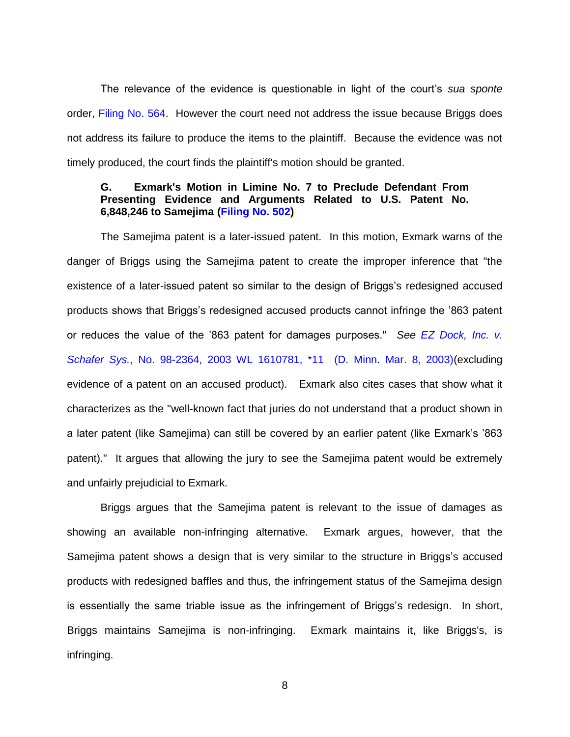The relevance of the evidence is questionable in light of the court's *sua sponte* order, [Filing No. 564.](https://ecf.ned.uscourts.gov/doc1/11313354174) However the court need not address the issue because Briggs does not address its failure to produce the items to the plaintiff. Because the evidence was not timely produced, the court finds the plaintiff's motion should be granted.

#### **G. Exmark's Motion in Limine No. 7 to Preclude Defendant From Presenting Evidence and Arguments Related to U.S. Patent No. 6,848,246 to Samejima [\(Filing No. 502\)](https://ecf.ned.uscourts.gov/doc1/11313334389)**

The Samejima patent is a later-issued patent. In this motion, Exmark warns of the danger of Briggs using the Samejima patent to create the improper inference that "the existence of a later-issued patent so similar to the design of Briggs's redesigned accused products shows that Briggs's redesigned accused products cannot infringe the '863 patent or reduces the value of the '863 patent for damages purposes." *See [EZ Dock, Inc. v.](https://www.westlaw.com/Document/Ia6126d31540711d9a99c85a9e6023ffa/View/FullText.html?transitionType=Default&contextData=(sc.Default)&VR=3.0&RS=da3.0&fragmentIdentifier=co_pp_sp_999_11)  Schafer Sys.*[, No. 98-2364, 2003 WL 1610781, \\*11 \(D. Minn. Mar. 8, 2003\)\(](https://www.westlaw.com/Document/Ia6126d31540711d9a99c85a9e6023ffa/View/FullText.html?transitionType=Default&contextData=(sc.Default)&VR=3.0&RS=da3.0&fragmentIdentifier=co_pp_sp_999_11)excluding evidence of a patent on an accused product). Exmark also cites cases that show what it characterizes as the "well-known fact that juries do not understand that a product shown in a later patent (like Samejima) can still be covered by an earlier patent (like Exmark's '863 patent)." It argues that allowing the jury to see the Samejima patent would be extremely and unfairly prejudicial to Exmark.

Briggs argues that the Samejima patent is relevant to the issue of damages as showing an available non-infringing alternative. Exmark argues, however, that the Samejima patent shows a design that is very similar to the structure in Briggs's accused products with redesigned baffles and thus, the infringement status of the Samejima design is essentially the same triable issue as the infringement of Briggs's redesign. In short, Briggs maintains Samejima is non-infringing. Exmark maintains it, like Briggs's, is infringing.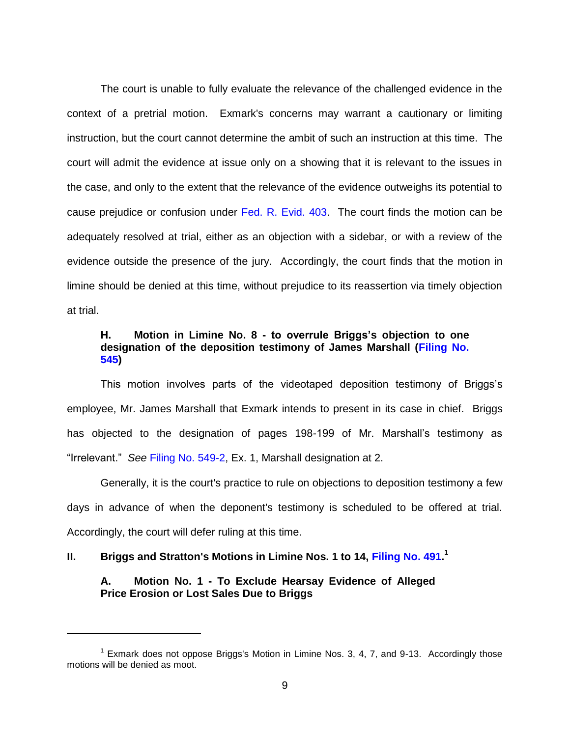The court is unable to fully evaluate the relevance of the challenged evidence in the context of a pretrial motion. Exmark's concerns may warrant a cautionary or limiting instruction, but the court cannot determine the ambit of such an instruction at this time. The court will admit the evidence at issue only on a showing that it is relevant to the issues in the case, and only to the extent that the relevance of the evidence outweighs its potential to cause prejudice or confusion under [Fed. R. Evid. 403.](https://www.westlaw.com/Document/N5CA04210B96D11D8983DF34406B5929B/View/FullText.html?transitionType=Default&contextData=(sc.Default)&VR=3.0&RS=da3.0) The court finds the motion can be adequately resolved at trial, either as an objection with a sidebar, or with a review of the evidence outside the presence of the jury. Accordingly, the court finds that the motion in limine should be denied at this time, without prejudice to its reassertion via timely objection at trial.

## **H. Motion in Limine No. 8 - to overrule Briggs's objection to one designation of the deposition testimony of James Marshall [\(Filing No.](https://ecf.ned.uscourts.gov/doc1/11313351166)  [545\)](https://ecf.ned.uscourts.gov/doc1/11313351166)**

This motion involves parts of the videotaped deposition testimony of Briggs's employee, Mr. James Marshall that Exmark intends to present in its case in chief. Briggs has objected to the designation of pages 198-199 of Mr. Marshall's testimony as "Irrelevant." *See* [Filing No. 549-2,](https://ecf.ned.uscourts.gov/doc1/11313351180) Ex. 1, Marshall designation at 2.

Generally, it is the court's practice to rule on objections to deposition testimony a few days in advance of when the deponent's testimony is scheduled to be offered at trial. Accordingly, the court will defer ruling at this time.

# **II. Briggs and Stratton's Motions in Limine Nos. 1 to 14, [Filing No. 491.](https://ecf.ned.uscourts.gov/doc1/11313333439) 1**

 $\overline{a}$ 

### **A. Motion No. 1 - To Exclude Hearsay Evidence of Alleged Price Erosion or Lost Sales Due to Briggs**

<sup>&</sup>lt;sup>1</sup> Exmark does not oppose Briggs's Motion in Limine Nos. 3, 4, 7, and 9-13. Accordingly those motions will be denied as moot.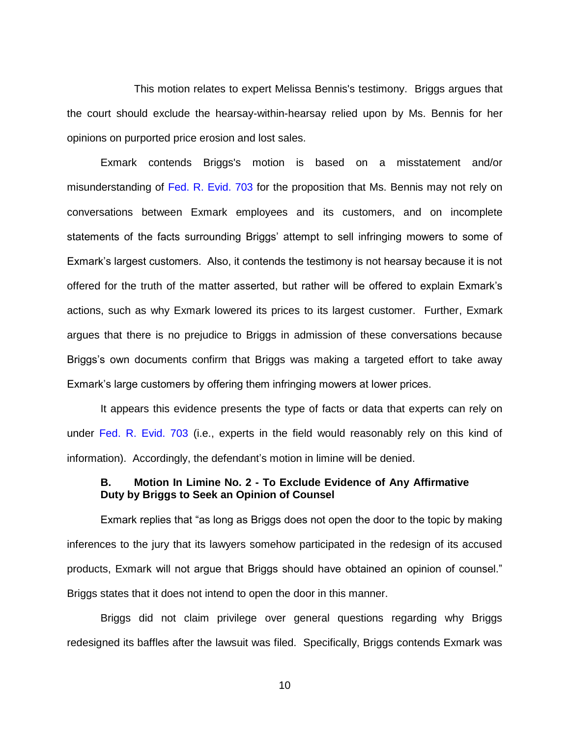This motion relates to expert Melissa Bennis's testimony. Briggs argues that the court should exclude the hearsay-within-hearsay relied upon by Ms. Bennis for her opinions on purported price erosion and lost sales.

Exmark contends Briggs's motion is based on a misstatement and/or misunderstanding of [Fed. R. Evid. 703](https://www.westlaw.com/Document/N105A63D0B96E11D8983DF34406B5929B/View/FullText.html?transitionType=Default&contextData=(sc.Default)&VR=3.0&RS=da3.0) for the proposition that Ms. Bennis may not rely on conversations between Exmark employees and its customers, and on incomplete statements of the facts surrounding Briggs' attempt to sell infringing mowers to some of Exmark's largest customers. Also, it contends the testimony is not hearsay because it is not offered for the truth of the matter asserted, but rather will be offered to explain Exmark's actions, such as why Exmark lowered its prices to its largest customer. Further, Exmark argues that there is no prejudice to Briggs in admission of these conversations because Briggs's own documents confirm that Briggs was making a targeted effort to take away Exmark's large customers by offering them infringing mowers at lower prices.

It appears this evidence presents the type of facts or data that experts can rely on under [Fed. R. Evid. 703](https://www.westlaw.com/Document/N105A63D0B96E11D8983DF34406B5929B/View/FullText.html?transitionType=Default&contextData=(sc.Default)&VR=3.0&RS=da3.0) (i.e., experts in the field would reasonably rely on this kind of information). Accordingly, the defendant's motion in limine will be denied.

#### **B. Motion In Limine No. 2 - To Exclude Evidence of Any Affirmative Duty by Briggs to Seek an Opinion of Counsel**

Exmark replies that "as long as Briggs does not open the door to the topic by making inferences to the jury that its lawyers somehow participated in the redesign of its accused products, Exmark will not argue that Briggs should have obtained an opinion of counsel." Briggs states that it does not intend to open the door in this manner.

Briggs did not claim privilege over general questions regarding why Briggs redesigned its baffles after the lawsuit was filed. Specifically, Briggs contends Exmark was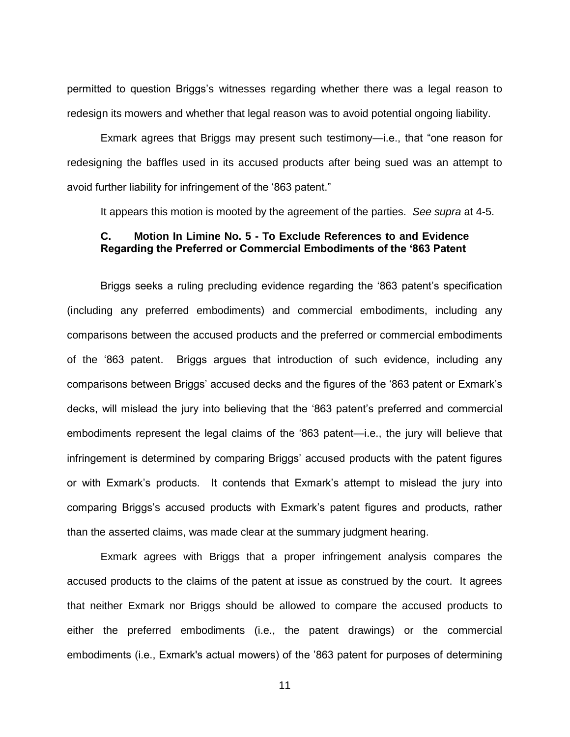permitted to question Briggs's witnesses regarding whether there was a legal reason to redesign its mowers and whether that legal reason was to avoid potential ongoing liability.

Exmark agrees that Briggs may present such testimony—i.e., that "one reason for redesigning the baffles used in its accused products after being sued was an attempt to avoid further liability for infringement of the '863 patent."

It appears this motion is mooted by the agreement of the parties. *See supra* at 4-5.

# **C. Motion In Limine No. 5 - To Exclude References to and Evidence Regarding the Preferred or Commercial Embodiments of the '863 Patent**

Briggs seeks a ruling precluding evidence regarding the '863 patent's specification (including any preferred embodiments) and commercial embodiments, including any comparisons between the accused products and the preferred or commercial embodiments of the '863 patent. Briggs argues that introduction of such evidence, including any comparisons between Briggs' accused decks and the figures of the '863 patent or Exmark's decks, will mislead the jury into believing that the '863 patent's preferred and commercial embodiments represent the legal claims of the '863 patent—i.e., the jury will believe that infringement is determined by comparing Briggs' accused products with the patent figures or with Exmark's products. It contends that Exmark's attempt to mislead the jury into comparing Briggs's accused products with Exmark's patent figures and products, rather than the asserted claims, was made clear at the summary judgment hearing.

Exmark agrees with Briggs that a proper infringement analysis compares the accused products to the claims of the patent at issue as construed by the court. It agrees that neither Exmark nor Briggs should be allowed to compare the accused products to either the preferred embodiments (i.e., the patent drawings) or the commercial embodiments (i.e., Exmark's actual mowers) of the '863 patent for purposes of determining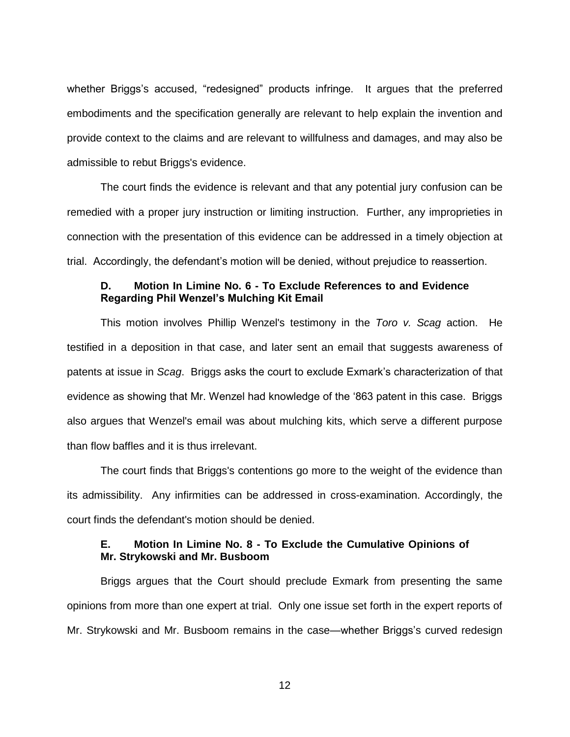whether Briggs's accused, "redesigned" products infringe. It argues that the preferred embodiments and the specification generally are relevant to help explain the invention and provide context to the claims and are relevant to willfulness and damages, and may also be admissible to rebut Briggs's evidence.

The court finds the evidence is relevant and that any potential jury confusion can be remedied with a proper jury instruction or limiting instruction. Further, any improprieties in connection with the presentation of this evidence can be addressed in a timely objection at trial. Accordingly, the defendant's motion will be denied, without prejudice to reassertion.

#### **D. Motion In Limine No. 6 - To Exclude References to and Evidence Regarding Phil Wenzel's Mulching Kit Email**

This motion involves Phillip Wenzel's testimony in the *Toro v. Scag* action. He testified in a deposition in that case, and later sent an email that suggests awareness of patents at issue in *Scag*. Briggs asks the court to exclude Exmark's characterization of that evidence as showing that Mr. Wenzel had knowledge of the '863 patent in this case. Briggs also argues that Wenzel's email was about mulching kits, which serve a different purpose than flow baffles and it is thus irrelevant.

The court finds that Briggs's contentions go more to the weight of the evidence than its admissibility. Any infirmities can be addressed in cross-examination. Accordingly, the court finds the defendant's motion should be denied.

### **E. Motion In Limine No. 8 - To Exclude the Cumulative Opinions of Mr. Strykowski and Mr. Busboom**

Briggs argues that the Court should preclude Exmark from presenting the same opinions from more than one expert at trial. Only one issue set forth in the expert reports of Mr. Strykowski and Mr. Busboom remains in the case—whether Briggs's curved redesign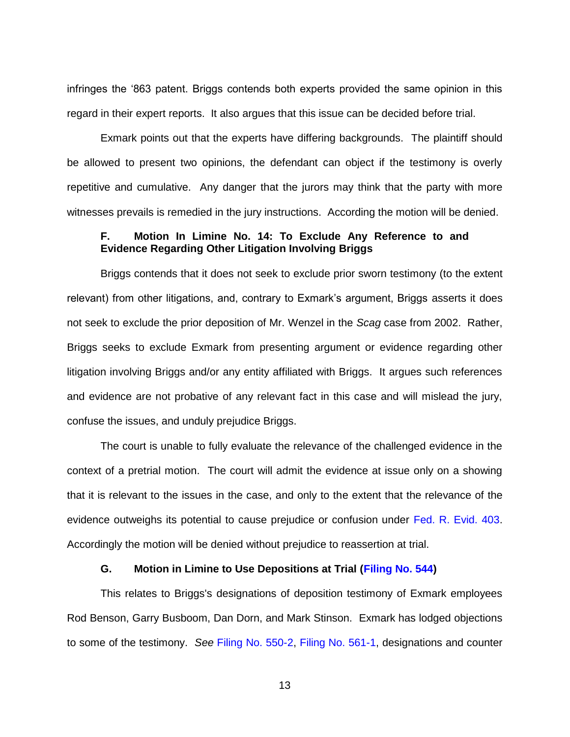infringes the '863 patent. Briggs contends both experts provided the same opinion in this regard in their expert reports. It also argues that this issue can be decided before trial.

Exmark points out that the experts have differing backgrounds. The plaintiff should be allowed to present two opinions, the defendant can object if the testimony is overly repetitive and cumulative. Any danger that the jurors may think that the party with more witnesses prevails is remedied in the jury instructions. According the motion will be denied.

# **F. Motion In Limine No. 14: To Exclude Any Reference to and Evidence Regarding Other Litigation Involving Briggs**

Briggs contends that it does not seek to exclude prior sworn testimony (to the extent relevant) from other litigations, and, contrary to Exmark's argument, Briggs asserts it does not seek to exclude the prior deposition of Mr. Wenzel in the *Scag* case from 2002. Rather, Briggs seeks to exclude Exmark from presenting argument or evidence regarding other litigation involving Briggs and/or any entity affiliated with Briggs. It argues such references and evidence are not probative of any relevant fact in this case and will mislead the jury, confuse the issues, and unduly prejudice Briggs.

The court is unable to fully evaluate the relevance of the challenged evidence in the context of a pretrial motion. The court will admit the evidence at issue only on a showing that it is relevant to the issues in the case, and only to the extent that the relevance of the evidence outweighs its potential to cause prejudice or confusion under [Fed. R. Evid. 403.](https://www.westlaw.com/Document/N5CA04210B96D11D8983DF34406B5929B/View/FullText.html?transitionType=Default&contextData=(sc.Default)&VR=3.0&RS=da3.0) Accordingly the motion will be denied without prejudice to reassertion at trial.

#### **G. Motion in Limine to Use Depositions at Trial [\(Filing No. 544\)](https://ecf.ned.uscourts.gov/doc1/11313351163)**

This relates to Briggs's designations of deposition testimony of Exmark employees Rod Benson, Garry Busboom, Dan Dorn, and Mark Stinson. Exmark has lodged objections to some of the testimony. *See* [Filing No. 550-2,](https://ecf.ned.uscourts.gov/doc1/11313351186) [Filing No. 561-1,](https://ecf.ned.uscourts.gov/doc1/11313353148) designations and counter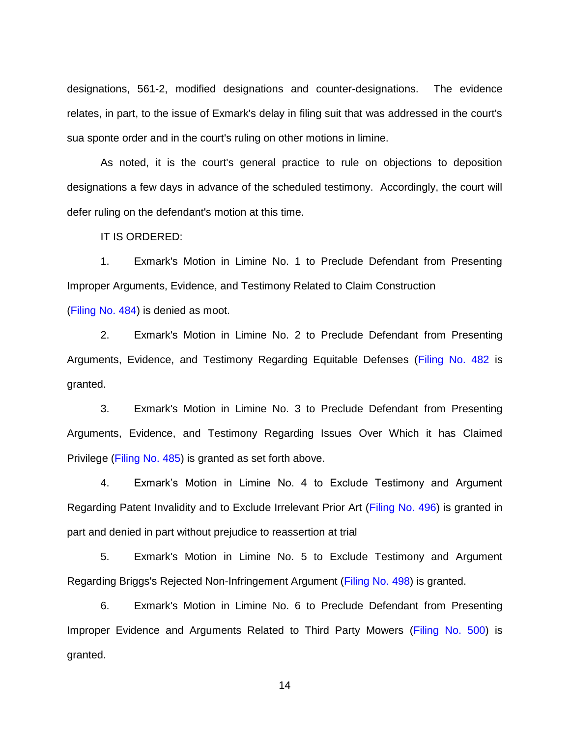designations, 561-2, modified designations and counter-designations. The evidence relates, in part, to the issue of Exmark's delay in filing suit that was addressed in the court's sua sponte order and in the court's ruling on other motions in limine.

As noted, it is the court's general practice to rule on objections to deposition designations a few days in advance of the scheduled testimony. Accordingly, the court will defer ruling on the defendant's motion at this time.

IT IS ORDERED:

1. Exmark's Motion in Limine No. 1 to Preclude Defendant from Presenting Improper Arguments, Evidence, and Testimony Related to Claim Construction [\(Filing No. 484\)](https://ecf.ned.uscourts.gov/doc1/11313333286) is denied as moot.

2. Exmark's Motion in Limine No. 2 to Preclude Defendant from Presenting Arguments, Evidence, and Testimony Regarding Equitable Defenses [\(Filing No. 482](https://ecf.ned.uscourts.gov/doc1/11313333266) is granted.

3. Exmark's Motion in Limine No. 3 to Preclude Defendant from Presenting Arguments, Evidence, and Testimony Regarding Issues Over Which it has Claimed Privilege [\(Filing No. 485\)](https://ecf.ned.uscourts.gov/doc1/11313333291) is granted as set forth above.

4. Exmark's Motion in Limine No. 4 to Exclude Testimony and Argument Regarding Patent Invalidity and to Exclude Irrelevant Prior Art [\(Filing No. 496\)](https://ecf.ned.uscourts.gov/doc1/11313334371) is granted in part and denied in part without prejudice to reassertion at trial

5. Exmark's Motion in Limine No. 5 to Exclude Testimony and Argument Regarding Briggs's Rejected Non-Infringement Argument [\(Filing No. 498\)](https://ecf.ned.uscourts.gov/doc1/11313334377) is granted.

6. Exmark's Motion in Limine No. 6 to Preclude Defendant from Presenting Improper Evidence and Arguments Related to Third Party Mowers [\(Filing No. 500\)](https://ecf.ned.uscourts.gov/doc1/11313334383) is granted.